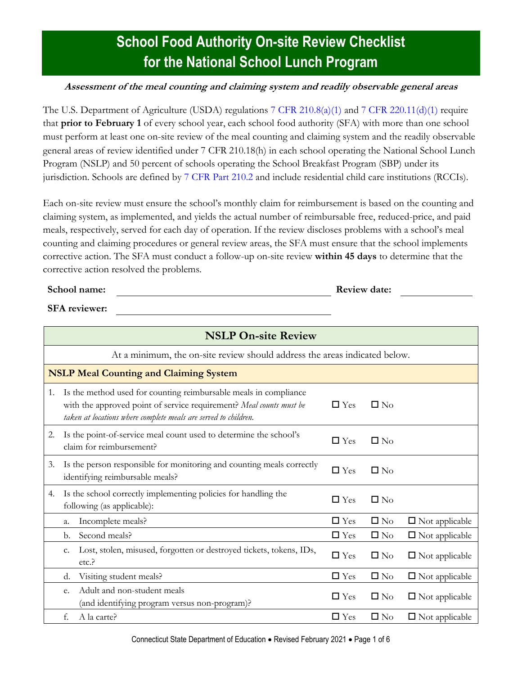## **School Food Authority On-site Review Checklist for the National School Lunch Program**

### **Assessment of the meal counting and claiming system and readily observable general areas**

The U.S. Department of Agriculture (USDA) regulations [7 CFR 210.8\(a\)\(1\)](https://www.ecfr.gov/cgi-bin/text-idx?SID=4c211a738d6109939c6054a6286ac109&mc=true&node=pt7.4.210&rgn=div5s#se7.4.210_18) and [7 CFR 220.11\(d\)\(1\)](https://www.ecfr.gov/cgi-bin/text-idx?SID=4c211a738d6109939c6054a6286ac109&mc=true&node=pt7.4.210&rgn=div5s#se7.4.210_120) require that **prior to February 1** of every school year, each school food authority (SFA) with more than one school must perform at least one on-site review of the meal counting and claiming system and the readily observable general areas of review identified under 7 CFR 210.18(h) in each school operating the National School Lunch Program (NSLP) and 50 percent of schools operating the School Breakfast Program (SBP) under its jurisdiction. Schools are defined by [7 CFR Part 210.2](https://www.ecfr.gov/cgi-bin/text-idx?SID=4c211a738d6109939c6054a6286ac109&mc=true&node=pt7.4.210&rgn=div5s#se7.4.210_12) and include residential child care institutions (RCCIs).

Each on-site review must ensure the school's monthly claim for reimbursement is based on the counting and claiming system, as implemented, and yields the actual number of reimbursable free, reduced-price, and paid meals, respectively, served for each day of operation. If the review discloses problems with a school's meal counting and claiming procedures or general review areas, the SFA must ensure that the school implements corrective action. The SFA must conduct a follow-up on-site review **within 45 days** to determine that the corrective action resolved the problems.

#### **School name: Review date: Review date: Review date: Review date: Review date:**

**SFA reviewer:**

| <b>NSLP On-site Review</b> |                                                                            |                                                                                                                                                                                                            |               |              |                       |  |
|----------------------------|----------------------------------------------------------------------------|------------------------------------------------------------------------------------------------------------------------------------------------------------------------------------------------------------|---------------|--------------|-----------------------|--|
|                            | At a minimum, the on-site review should address the areas indicated below. |                                                                                                                                                                                                            |               |              |                       |  |
|                            | <b>NSLP Meal Counting and Claiming System</b>                              |                                                                                                                                                                                                            |               |              |                       |  |
| 1.                         |                                                                            | Is the method used for counting reimbursable meals in compliance<br>with the approved point of service requirement? Meal counts must be<br>taken at locations where complete meals are served to children. | $\Box$ Yes    | $\square$ No |                       |  |
| 2.                         |                                                                            | Is the point-of-service meal count used to determine the school's<br>claim for reimbursement?                                                                                                              | $\Box$ Yes    | $\square$ No |                       |  |
| 3.                         |                                                                            | Is the person responsible for monitoring and counting meals correctly<br>identifying reimbursable meals?                                                                                                   | $\Box$ Yes    | $\square$ No |                       |  |
| 4.                         |                                                                            | Is the school correctly implementing policies for handling the<br>following (as applicable):                                                                                                               | $\Box$ Yes    | $\square$ No |                       |  |
|                            | a.                                                                         | Incomplete meals?                                                                                                                                                                                          | $\Box$ Yes    | $\square$ No | $\Box$ Not applicable |  |
|                            | b.                                                                         | Second meals?                                                                                                                                                                                              | $\Box$ Yes    | $\square$ No | $\Box$ Not applicable |  |
|                            | c.                                                                         | Lost, stolen, misused, forgotten or destroyed tickets, tokens, IDs,<br>etc.                                                                                                                                | $\Box$ Yes    | $\square$ No | $\Box$ Not applicable |  |
|                            | d.                                                                         | Visiting student meals?                                                                                                                                                                                    | $\Box$ Yes    | $\square$ No | $\Box$ Not applicable |  |
|                            | e.                                                                         | Adult and non-student meals<br>(and identifying program versus non-program)?                                                                                                                               | $\Box$ Yes    | $\square$ No | $\Box$ Not applicable |  |
|                            | f.                                                                         | A la carte?                                                                                                                                                                                                | $\square$ Yes | $\square$ No | $\Box$ Not applicable |  |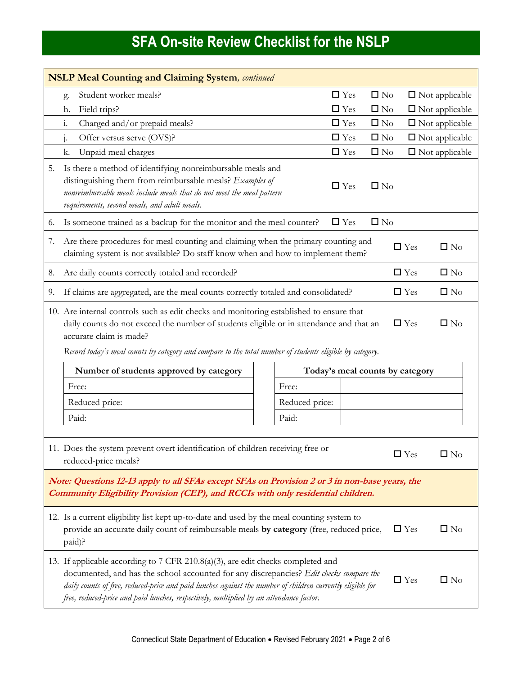| <b>NSLP Meal Counting and Claiming System</b> , continued                                                                                                                                                                    |                                                                                                                                                                                                                                                                                                                                                                                                                   |                                 |               |              |            |                       |
|------------------------------------------------------------------------------------------------------------------------------------------------------------------------------------------------------------------------------|-------------------------------------------------------------------------------------------------------------------------------------------------------------------------------------------------------------------------------------------------------------------------------------------------------------------------------------------------------------------------------------------------------------------|---------------------------------|---------------|--------------|------------|-----------------------|
|                                                                                                                                                                                                                              | Student worker meals?<br>g.                                                                                                                                                                                                                                                                                                                                                                                       |                                 | $\Box$ Yes    | $\square$ No |            | $\Box$ Not applicable |
|                                                                                                                                                                                                                              | Field trips?<br>h.                                                                                                                                                                                                                                                                                                                                                                                                |                                 | $\Box$ Yes    | $\square$ No |            | $\Box$ Not applicable |
|                                                                                                                                                                                                                              | $\mathbf{i}$ .<br>Charged and/or prepaid meals?                                                                                                                                                                                                                                                                                                                                                                   |                                 | $\Box$ Yes    | $\square$ No |            | $\Box$ Not applicable |
|                                                                                                                                                                                                                              | Offer versus serve (OVS)?<br>$1 -$                                                                                                                                                                                                                                                                                                                                                                                |                                 | $\Box$ Yes    | $\square$ No |            | $\Box$ Not applicable |
|                                                                                                                                                                                                                              | Unpaid meal charges<br>k.                                                                                                                                                                                                                                                                                                                                                                                         |                                 | $\Box$ Yes    | $\square$ No |            | $\Box$ Not applicable |
| 5.                                                                                                                                                                                                                           | Is there a method of identifying nonreimbursable meals and<br>distinguishing them from reimbursable meals? Examples of<br>nonreimbursable meals include meals that do not meet the meal pattern<br>requirements, second meals, and adult meals.                                                                                                                                                                   |                                 | $\square$ Yes | $\square$ No |            |                       |
| 6.                                                                                                                                                                                                                           | Is someone trained as a backup for the monitor and the meal counter?                                                                                                                                                                                                                                                                                                                                              |                                 | $\Box$ Yes    | $\square$ No |            |                       |
| 7.                                                                                                                                                                                                                           | Are there procedures for meal counting and claiming when the primary counting and<br>$\square$ No<br>$\Box$ Yes<br>claiming system is not available? Do staff know when and how to implement them?                                                                                                                                                                                                                |                                 |               |              |            |                       |
| 8.                                                                                                                                                                                                                           | Are daily counts correctly totaled and recorded?                                                                                                                                                                                                                                                                                                                                                                  |                                 |               |              | $\Box$ Yes | $\square$ No          |
| 9.                                                                                                                                                                                                                           | If claims are aggregated, are the meal counts correctly totaled and consolidated?                                                                                                                                                                                                                                                                                                                                 |                                 |               |              | $\Box$ Yes | $\square$ No          |
|                                                                                                                                                                                                                              | 10. Are internal controls such as edit checks and monitoring established to ensure that<br>$\Box$ Yes<br>$\square$ No<br>daily counts do not exceed the number of students eligible or in attendance and that an<br>accurate claim is made?<br>Record today's meal counts by category and compare to the total number of students eligible by category.                                                           |                                 |               |              |            |                       |
|                                                                                                                                                                                                                              | Number of students approved by category                                                                                                                                                                                                                                                                                                                                                                           | Today's meal counts by category |               |              |            |                       |
|                                                                                                                                                                                                                              | Free:                                                                                                                                                                                                                                                                                                                                                                                                             | Free:                           |               |              |            |                       |
|                                                                                                                                                                                                                              | Reduced price:                                                                                                                                                                                                                                                                                                                                                                                                    | Reduced price:                  |               |              |            |                       |
|                                                                                                                                                                                                                              | Paid:                                                                                                                                                                                                                                                                                                                                                                                                             | Paid:                           |               |              |            |                       |
|                                                                                                                                                                                                                              | 11. Does the system prevent overt identification of children receiving free or<br>$\Box$ Yes<br>$\square$ No<br>reduced-price meals?                                                                                                                                                                                                                                                                              |                                 |               |              |            |                       |
| Note: Questions 12-13 apply to all SFAs except SFAs on Provision 2 or 3 in non-base years, the<br>Community Eligibility Provision (CEP), and RCCIs with only residential children.                                           |                                                                                                                                                                                                                                                                                                                                                                                                                   |                                 |               |              |            |                       |
| 12. Is a current eligibility list kept up-to-date and used by the meal counting system to<br>provide an accurate daily count of reimbursable meals by category (free, reduced price,<br>$\Box$ Yes<br>$\square$ No<br>paid)? |                                                                                                                                                                                                                                                                                                                                                                                                                   |                                 |               |              |            |                       |
|                                                                                                                                                                                                                              | 13. If applicable according to 7 CFR 210.8(a)(3), are edit checks completed and<br>documented, and has the school accounted for any discrepancies? Edit checks compare the<br>$\square$ No<br>$\Box$ Yes<br>daily counts of free, reduced-price and paid lunches against the number of children currently eligible for<br>free, reduced-price and paid lunches, respectively, multiplied by an attendance factor. |                                 |               |              |            |                       |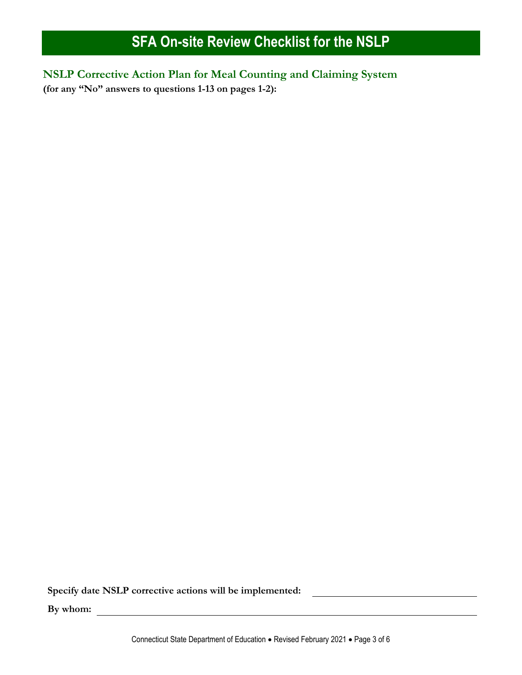**NSLP Corrective Action Plan for Meal Counting and Claiming System (for any "No" answers to questions 1-13 on pages 1-2):**

**Specify date NSLP corrective actions will be implemented:**

**By whom:**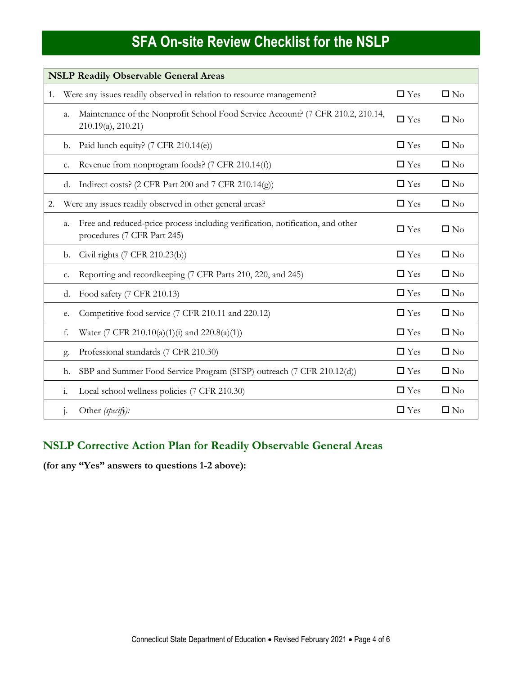| <b>NSLP Readily Observable General Areas</b> |                |                                                                                                               |            |              |  |  |
|----------------------------------------------|----------------|---------------------------------------------------------------------------------------------------------------|------------|--------------|--|--|
| 1.                                           |                | Were any issues readily observed in relation to resource management?                                          | $\Box$ Yes | $\square$ No |  |  |
|                                              | a.             | Maintenance of the Nonprofit School Food Service Account? (7 CFR 210.2, 210.14,<br>210.19(a), 210.21)         | $\Box$ Yes | $\square$ No |  |  |
|                                              | b.             | Paid lunch equity? (7 CFR 210.14(e))                                                                          | $\Box$ Yes | $\square$ No |  |  |
|                                              | c.             | Revenue from nonprogram foods? (7 CFR 210.14(f))                                                              | $\Box$ Yes | $\square$ No |  |  |
|                                              | d.             | Indirect costs? (2 CFR Part 200 and 7 CFR 210.14(g))                                                          | $\Box$ Yes | $\square$ No |  |  |
| 2.                                           |                | Were any issues readily observed in other general areas?                                                      | $\Box$ Yes | $\square$ No |  |  |
|                                              | a.             | Free and reduced-price process including verification, notification, and other<br>procedures (7 CFR Part 245) | $\Box$ Yes | $\square$ No |  |  |
|                                              | b.             | Civil rights (7 CFR 210.23(b))                                                                                | $\Box$ Yes | $\square$ No |  |  |
|                                              | c.             | Reporting and recordkeeping (7 CFR Parts 210, 220, and 245)                                                   | $\Box$ Yes | $\square$ No |  |  |
|                                              | d.             | Food safety (7 CFR 210.13)                                                                                    | $\Box$ Yes | $\square$ No |  |  |
|                                              | e.             | Competitive food service (7 CFR 210.11 and 220.12)                                                            | $\Box$ Yes | $\square$ No |  |  |
|                                              | f.             | Water (7 CFR 210.10(a)(1)(i) and 220.8(a)(1))                                                                 | $\Box$ Yes | $\square$ No |  |  |
|                                              | g.             | Professional standards (7 CFR 210.30)                                                                         | $\Box$ Yes | $\square$ No |  |  |
|                                              | h.             | SBP and Summer Food Service Program (SFSP) outreach (7 CFR 210.12(d))                                         | $\Box$ Yes | $\square$ No |  |  |
|                                              | $\mathbf{i}$ . | Local school wellness policies (7 CFR 210.30)                                                                 | $\Box$ Yes | $\square$ No |  |  |
|                                              | $\cdot$        | Other (specify):                                                                                              | $\Box$ Yes | $\square$ No |  |  |

### **NSLP Corrective Action Plan for Readily Observable General Areas**

**(for any "Yes" answers to questions 1-2 above):**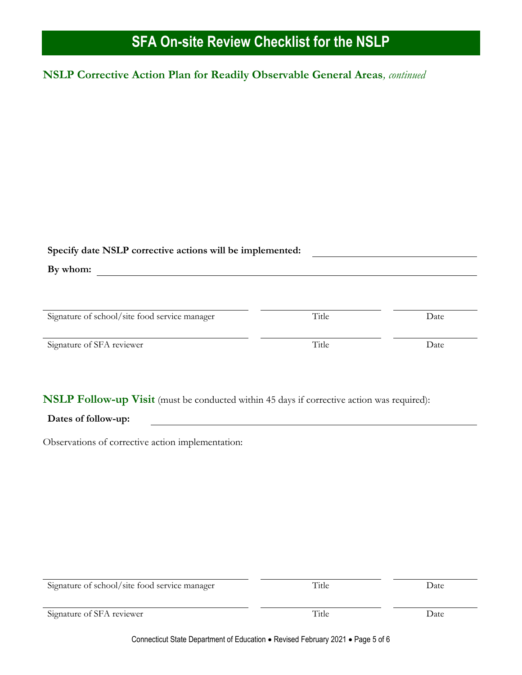### **NSLP Corrective Action Plan for Readily Observable General Areas***, continued*

| Specify date NSLP corrective actions will be implemented:<br>By whom: |       |      |  |  |  |
|-----------------------------------------------------------------------|-------|------|--|--|--|
| Signature of school/site food service manager                         | Title | Date |  |  |  |
| Signature of SFA reviewer                                             | Title | Date |  |  |  |

**NSLP Follow-up Visit** (must be conducted within 45 days if corrective action was required):

#### **Dates of follow-up:**

Observations of corrective action implementation:

| Signature of school/site food service manager | Title | Date |  |
|-----------------------------------------------|-------|------|--|
| Signature of SFA reviewer                     | Title | Date |  |